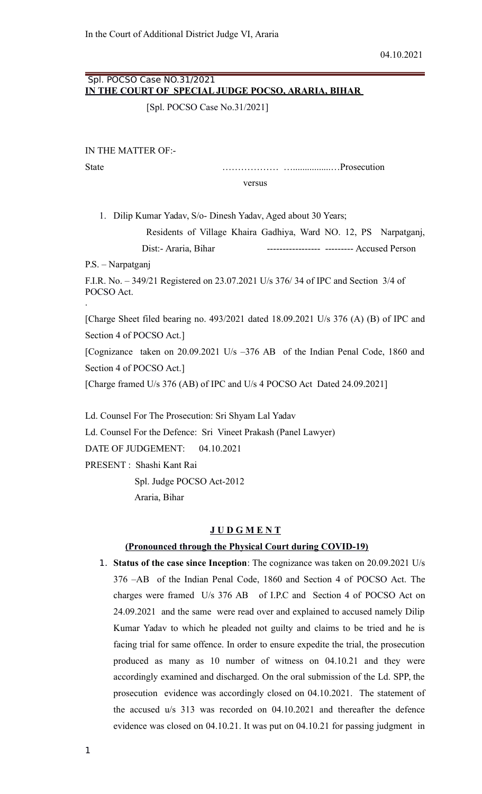# Spl. POCSO Case NO.31/2021  **IN THE COURT OF SPECIAL JUDGE POCSO, ARARIA, BIHAR**

[Spl. POCSO Case No.31/2021]

IN THE MATTER OF:-

State ……………… …................…Prosecution versus

1. Dilip Kumar Yadav, S/o- Dinesh Yadav, Aged about 30 Years;

 Residents of Village Khaira Gadhiya, Ward NO. 12, PS Narpatganj, Dist:- Araria, Bihar ------------------------------ Accused Person

P.S. – Narpatganj

F.I.R. No. – 349/21 Registered on 23.07.2021 U/s 376/ 34 of IPC and Section 3/4 of POCSO Act. .

[Charge Sheet filed bearing no. 493/2021 dated 18.09.2021 U/s 376 (A) (B) of IPC and Section 4 of POCSO Act.]

[Cognizance taken on 20.09.2021 U/s –376 AB of the Indian Penal Code, 1860 and Section 4 of POCSO Act.]

[Charge framed U/s 376 (AB) of IPC and U/s 4 POCSO Act Dated 24.09.2021]

Ld. Counsel For The Prosecution: Sri Shyam Lal Yadav Ld. Counsel For the Defence: Sri Vineet Prakash (Panel Lawyer) DATE OF JUDGEMENT: 04.10.2021 PRESENT : Shashi Kant Rai Spl. Judge POCSO Act-2012 Araria, Bihar

#### **J U D G M E N T**

#### **(Pronounced through the Physical Court during COVID-19)**

1. **Status of the case since Inception**: The cognizance was taken on 20.09.2021 U/s 376 –AB of the Indian Penal Code, 1860 and Section 4 of POCSO Act. The charges were framed U/s 376 AB of I.P.C and Section 4 of POCSO Act on 24.09.2021 and the same were read over and explained to accused namely Dilip Kumar Yadav to which he pleaded not guilty and claims to be tried and he is facing trial for same offence. In order to ensure expedite the trial, the prosecution produced as many as 10 number of witness on 04.10.21 and they were accordingly examined and discharged. On the oral submission of the Ld. SPP, the prosecution evidence was accordingly closed on 04.10.2021. The statement of the accused u/s 313 was recorded on 04.10.2021 and thereafter the defence evidence was closed on 04.10.21. It was put on 04.10.21 for passing judgment in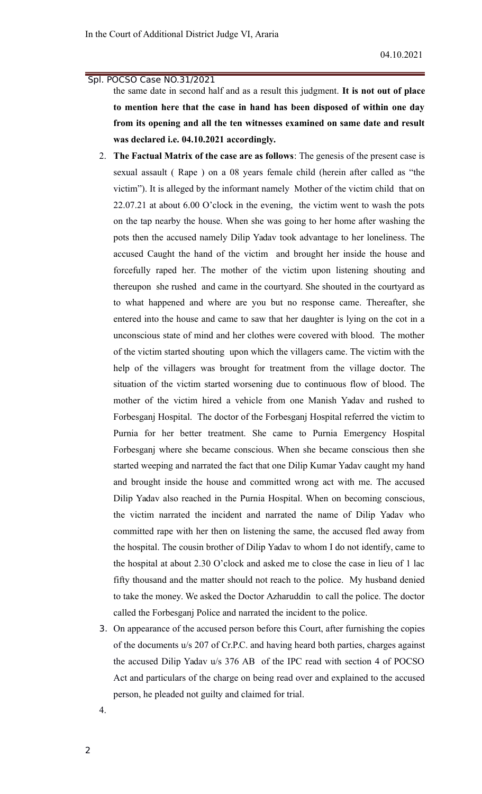the same date in second half and as a result this judgment. **It is not out of place to mention here that the case in hand has been disposed of within one day from its opening and all the ten witnesses examined on same date and result was declared i.e. 04.10.2021 accordingly.**

- 2. **The Factual Matrix of the case are as follows**: The genesis of the present case is sexual assault ( Rape ) on a 08 years female child (herein after called as "the victim"). It is alleged by the informant namely Mother of the victim child that on 22.07.21 at about 6.00 O'clock in the evening, the victim went to wash the pots on the tap nearby the house. When she was going to her home after washing the pots then the accused namely Dilip Yadav took advantage to her loneliness. The accused Caught the hand of the victim and brought her inside the house and forcefully raped her. The mother of the victim upon listening shouting and thereupon she rushed and came in the courtyard. She shouted in the courtyard as to what happened and where are you but no response came. Thereafter, she entered into the house and came to saw that her daughter is lying on the cot in a unconscious state of mind and her clothes were covered with blood. The mother of the victim started shouting upon which the villagers came. The victim with the help of the villagers was brought for treatment from the village doctor. The situation of the victim started worsening due to continuous flow of blood. The mother of the victim hired a vehicle from one Manish Yadav and rushed to Forbesganj Hospital. The doctor of the Forbesganj Hospital referred the victim to Purnia for her better treatment. She came to Purnia Emergency Hospital Forbesganj where she became conscious. When she became conscious then she started weeping and narrated the fact that one Dilip Kumar Yadav caught my hand and brought inside the house and committed wrong act with me. The accused Dilip Yadav also reached in the Purnia Hospital. When on becoming conscious, the victim narrated the incident and narrated the name of Dilip Yadav who committed rape with her then on listening the same, the accused fled away from the hospital. The cousin brother of Dilip Yadav to whom I do not identify, came to the hospital at about 2.30 O'clock and asked me to close the case in lieu of 1 lac fifty thousand and the matter should not reach to the police. My husband denied to take the money. We asked the Doctor Azharuddin to call the police. The doctor called the Forbesganj Police and narrated the incident to the police.
- 3. On appearance of the accused person before this Court, after furnishing the copies of the documents u/s 207 of Cr.P.C. and having heard both parties, charges against the accused Dilip Yadav u/s 376 AB of the IPC read with section 4 of POCSO Act and particulars of the charge on being read over and explained to the accused person, he pleaded not guilty and claimed for trial.

4.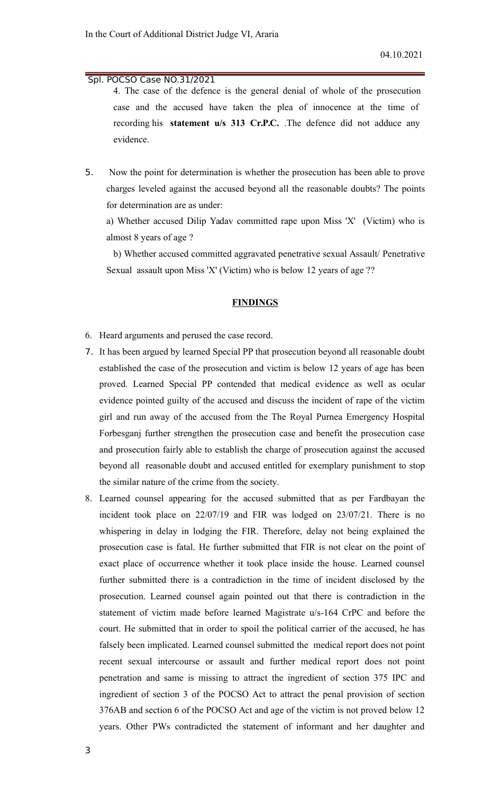4. The case of the defence is the general denial of whole of the prosecution case and the accused have taken the plea of innocence at the time of recording his **statement u/s 313 Cr.P.C.** .The defence did not adduce any evidence.

5. Now the point for determination is whether the prosecution has been able to prove charges leveled against the accused beyond all the reasonable doubts? The points for determination are as under:

a) Whether accused Dilip Yadav committed rape upon Miss 'X' (Victim) who is almost 8 years of age ?

b) Whether accused committed aggravated penetrative sexual Assault/ Penetrative Sexual assault upon Miss 'X' (Victim) who is below 12 years of age ??

#### **FINDINGS**

- 6. Heard arguments and perused the case record.
- 7. It has been argued by learned Special PP that prosecution beyond all reasonable doubt established the case of the prosecution and victim is below 12 years of age has been proved. Learned Special PP contended that medical evidence as well as ocular evidence pointed guilty of the accused and discuss the incident of rape of the victim girl and run away of the accused from the The Royal Purnea Emergency Hospital Forbesganj further strengthen the prosecution case and benefit the prosecution case and prosecution fairly able to establish the charge of prosecution against the accused beyond all reasonable doubt and accused entitled for exemplary punishment to stop the similar nature of the crime from the society.
- 8. Learned counsel appearing for the accused submitted that as per Fardbayan the incident took place on 22/07/19 and FIR was lodged on 23/07/21. There is no whispering in delay in lodging the FIR. Therefore, delay not being explained the prosecution case is fatal. He further submitted that FIR is not clear on the point of exact place of occurrence whether it took place inside the house. Learned counsel further submitted there is a contradiction in the time of incident disclosed by the prosecution. Learned counsel again pointed out that there is contradiction in the statement of victim made before learned Magistrate u/s-164 CrPC and before the court. He submitted that in order to spoil the political carrier of the accused, he has falsely been implicated. Learned counsel submitted the medical report does not point recent sexual intercourse or assault and further medical report does not point penetration and same is missing to attract the ingredient of section 375 IPC and ingredient of section 3 of the POCSO Act to attract the penal provision of section 376AB and section 6 of the POCSO Act and age of the victim is not proved below 12 years. Other PWs contradicted the statement of informant and her daughter and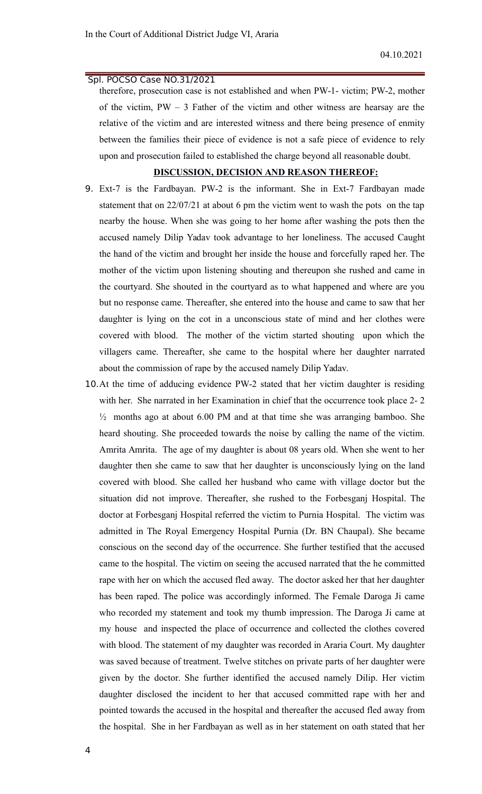therefore, prosecution case is not established and when PW-1- victim; PW-2, mother of the victim, PW – 3 Father of the victim and other witness are hearsay are the relative of the victim and are interested witness and there being presence of enmity between the families their piece of evidence is not a safe piece of evidence to rely upon and prosecution failed to established the charge beyond all reasonable doubt.

#### **DISCUSSION, DECISION AND REASON THEREOF:**

- 9. Ext-7 is the Fardbayan. PW-2 is the informant. She in Ext-7 Fardbayan made statement that on 22/07/21 at about 6 pm the victim went to wash the pots on the tap nearby the house. When she was going to her home after washing the pots then the accused namely Dilip Yadav took advantage to her loneliness. The accused Caught the hand of the victim and brought her inside the house and forcefully raped her. The mother of the victim upon listening shouting and thereupon she rushed and came in the courtyard. She shouted in the courtyard as to what happened and where are you but no response came. Thereafter, she entered into the house and came to saw that her daughter is lying on the cot in a unconscious state of mind and her clothes were covered with blood. The mother of the victim started shouting upon which the villagers came. Thereafter, she came to the hospital where her daughter narrated about the commission of rape by the accused namely Dilip Yadav.
- 10.At the time of adducing evidence PW-2 stated that her victim daughter is residing with her. She narrated in her Examination in chief that the occurrence took place 2-2 ½ months ago at about 6.00 PM and at that time she was arranging bamboo. She heard shouting. She proceeded towards the noise by calling the name of the victim. Amrita Amrita. The age of my daughter is about 08 years old. When she went to her daughter then she came to saw that her daughter is unconsciously lying on the land covered with blood. She called her husband who came with village doctor but the situation did not improve. Thereafter, she rushed to the Forbesganj Hospital. The doctor at Forbesganj Hospital referred the victim to Purnia Hospital. The victim was admitted in The Royal Emergency Hospital Purnia (Dr. BN Chaupal). She became conscious on the second day of the occurrence. She further testified that the accused came to the hospital. The victim on seeing the accused narrated that the he committed rape with her on which the accused fled away. The doctor asked her that her daughter has been raped. The police was accordingly informed. The Female Daroga Ji came who recorded my statement and took my thumb impression. The Daroga Ji came at my house and inspected the place of occurrence and collected the clothes covered with blood. The statement of my daughter was recorded in Araria Court. My daughter was saved because of treatment. Twelve stitches on private parts of her daughter were given by the doctor. She further identified the accused namely Dilip. Her victim daughter disclosed the incident to her that accused committed rape with her and pointed towards the accused in the hospital and thereafter the accused fled away from the hospital. She in her Fardbayan as well as in her statement on oath stated that her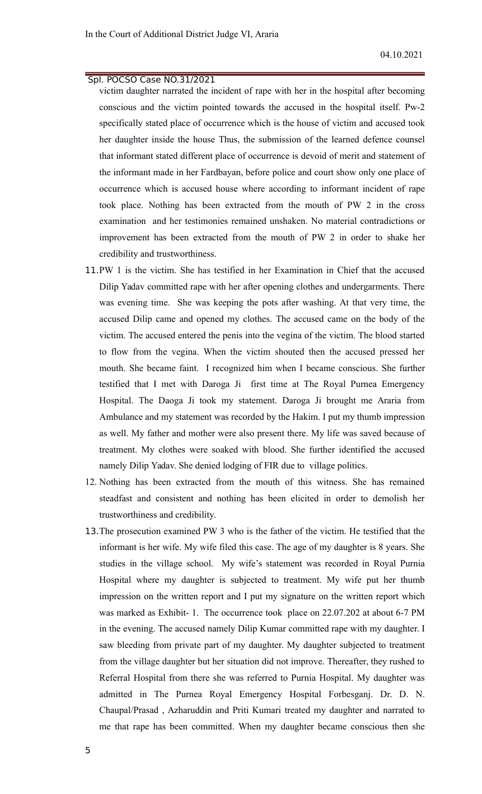victim daughter narrated the incident of rape with her in the hospital after becoming conscious and the victim pointed towards the accused in the hospital itself. Pw-2 specifically stated place of occurrence which is the house of victim and accused took her daughter inside the house Thus, the submission of the learned defence counsel that informant stated different place of occurrence is devoid of merit and statement of the informant made in her Fardbayan, before police and court show only one place of occurrence which is accused house where according to informant incident of rape took place. Nothing has been extracted from the mouth of PW 2 in the cross examination and her testimonies remained unshaken. No material contradictions or improvement has been extracted from the mouth of PW 2 in order to shake her credibility and trustworthiness.

- 11.PW 1 is the victim. She has testified in her Examination in Chief that the accused Dilip Yadav committed rape with her after opening clothes and undergarments. There was evening time. She was keeping the pots after washing. At that very time, the accused Dilip came and opened my clothes. The accused came on the body of the victim. The accused entered the penis into the vegina of the victim. The blood started to flow from the vegina. When the victim shouted then the accused pressed her mouth. She became faint. I recognized him when I became conscious. She further testified that I met with Daroga Ji first time at The Royal Purnea Emergency Hospital. The Daoga Ji took my statement. Daroga Ji brought me Araria from Ambulance and my statement was recorded by the Hakim. I put my thumb impression as well. My father and mother were also present there. My life was saved because of treatment. My clothes were soaked with blood. She further identified the accused namely Dilip Yadav. She denied lodging of FIR due to village politics.
- 12. Nothing has been extracted from the mouth of this witness. She has remained steadfast and consistent and nothing has been elicited in order to demolish her trustworthiness and credibility.
- 13.The prosecution examined PW 3 who is the father of the victim. He testified that the informant is her wife. My wife filed this case. The age of my daughter is 8 years. She studies in the village school. My wife's statement was recorded in Royal Purnia Hospital where my daughter is subjected to treatment. My wife put her thumb impression on the written report and I put my signature on the written report which was marked as Exhibit- 1. The occurrence took place on 22.07.202 at about 6-7 PM in the evening. The accused namely Dilip Kumar committed rape with my daughter. I saw bleeding from private part of my daughter. My daughter subjected to treatment from the village daughter but her situation did not improve. Thereafter, they rushed to Referral Hospital from there she was referred to Purnia Hospital. My daughter was admitted in The Purnea Royal Emergency Hospital Forbesganj. Dr. D. N. Chaupal/Prasad , Azharuddin and Priti Kumari treated my daughter and narrated to me that rape has been committed. When my daughter became conscious then she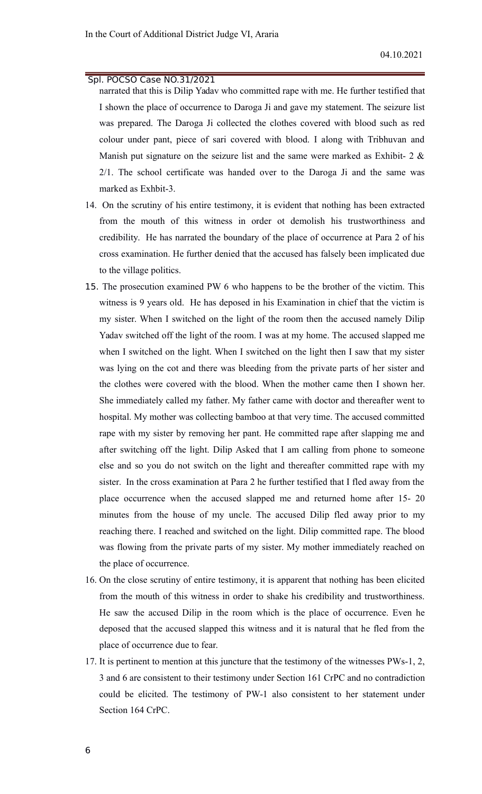narrated that this is Dilip Yadav who committed rape with me. He further testified that I shown the place of occurrence to Daroga Ji and gave my statement. The seizure list was prepared. The Daroga Ji collected the clothes covered with blood such as red colour under pant, piece of sari covered with blood. I along with Tribhuvan and Manish put signature on the seizure list and the same were marked as Exhibit-  $2 \&$ 2/1. The school certificate was handed over to the Daroga Ji and the same was marked as Exhbit-3.

- 14. On the scrutiny of his entire testimony, it is evident that nothing has been extracted from the mouth of this witness in order ot demolish his trustworthiness and credibility. He has narrated the boundary of the place of occurrence at Para 2 of his cross examination. He further denied that the accused has falsely been implicated due to the village politics.
- 15. The prosecution examined PW 6 who happens to be the brother of the victim. This witness is 9 years old. He has deposed in his Examination in chief that the victim is my sister. When I switched on the light of the room then the accused namely Dilip Yadav switched off the light of the room. I was at my home. The accused slapped me when I switched on the light. When I switched on the light then I saw that my sister was lying on the cot and there was bleeding from the private parts of her sister and the clothes were covered with the blood. When the mother came then I shown her. She immediately called my father. My father came with doctor and thereafter went to hospital. My mother was collecting bamboo at that very time. The accused committed rape with my sister by removing her pant. He committed rape after slapping me and after switching off the light. Dilip Asked that I am calling from phone to someone else and so you do not switch on the light and thereafter committed rape with my sister. In the cross examination at Para 2 he further testified that I fled away from the place occurrence when the accused slapped me and returned home after 15- 20 minutes from the house of my uncle. The accused Dilip fled away prior to my reaching there. I reached and switched on the light. Dilip committed rape. The blood was flowing from the private parts of my sister. My mother immediately reached on the place of occurrence.
- 16. On the close scrutiny of entire testimony, it is apparent that nothing has been elicited from the mouth of this witness in order to shake his credibility and trustworthiness. He saw the accused Dilip in the room which is the place of occurrence. Even he deposed that the accused slapped this witness and it is natural that he fled from the place of occurrence due to fear.
- 17. It is pertinent to mention at this juncture that the testimony of the witnesses PWs-1, 2, 3 and 6 are consistent to their testimony under Section 161 CrPC and no contradiction could be elicited. The testimony of PW-1 also consistent to her statement under Section 164 CrPC.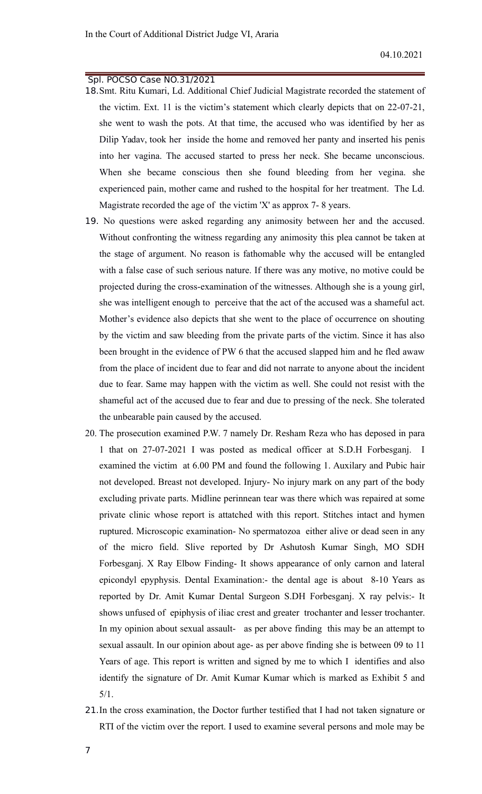- 18.Smt. Ritu Kumari, Ld. Additional Chief Judicial Magistrate recorded the statement of the victim. Ext. 11 is the victim's statement which clearly depicts that on 22-07-21, she went to wash the pots. At that time, the accused who was identified by her as Dilip Yadav, took her inside the home and removed her panty and inserted his penis into her vagina. The accused started to press her neck. She became unconscious. When she became conscious then she found bleeding from her vegina. she experienced pain, mother came and rushed to the hospital for her treatment. The Ld. Magistrate recorded the age of the victim 'X' as approx 7- 8 years.
- 19. No questions were asked regarding any animosity between her and the accused. Without confronting the witness regarding any animosity this plea cannot be taken at the stage of argument. No reason is fathomable why the accused will be entangled with a false case of such serious nature. If there was any motive, no motive could be projected during the cross-examination of the witnesses. Although she is a young girl, she was intelligent enough to perceive that the act of the accused was a shameful act. Mother's evidence also depicts that she went to the place of occurrence on shouting by the victim and saw bleeding from the private parts of the victim. Since it has also been brought in the evidence of PW 6 that the accused slapped him and he fled awaw from the place of incident due to fear and did not narrate to anyone about the incident due to fear. Same may happen with the victim as well. She could not resist with the shameful act of the accused due to fear and due to pressing of the neck. She tolerated the unbearable pain caused by the accused.
- 20. The prosecution examined P.W. 7 namely Dr. Resham Reza who has deposed in para 1 that on 27-07-2021 I was posted as medical officer at S.D.H Forbesganj. I examined the victim at 6.00 PM and found the following 1. Auxilary and Pubic hair not developed. Breast not developed. Injury- No injury mark on any part of the body excluding private parts. Midline perinnean tear was there which was repaired at some private clinic whose report is attatched with this report. Stitches intact and hymen ruptured. Microscopic examination- No spermatozoa either alive or dead seen in any of the micro field. Slive reported by Dr Ashutosh Kumar Singh, MO SDH Forbesganj. X Ray Elbow Finding- It shows appearance of only carnon and lateral epicondyl epyphysis. Dental Examination:- the dental age is about 8-10 Years as reported by Dr. Amit Kumar Dental Surgeon S.DH Forbesganj. X ray pelvis:- It shows unfused of epiphysis of iliac crest and greater trochanter and lesser trochanter. In my opinion about sexual assault- as per above finding this may be an attempt to sexual assault. In our opinion about age- as per above finding she is between 09 to 11 Years of age. This report is written and signed by me to which I identifies and also identify the signature of Dr. Amit Kumar Kumar which is marked as Exhibit 5 and 5/1.
- 21.In the cross examination, the Doctor further testified that I had not taken signature or RTI of the victim over the report. I used to examine several persons and mole may be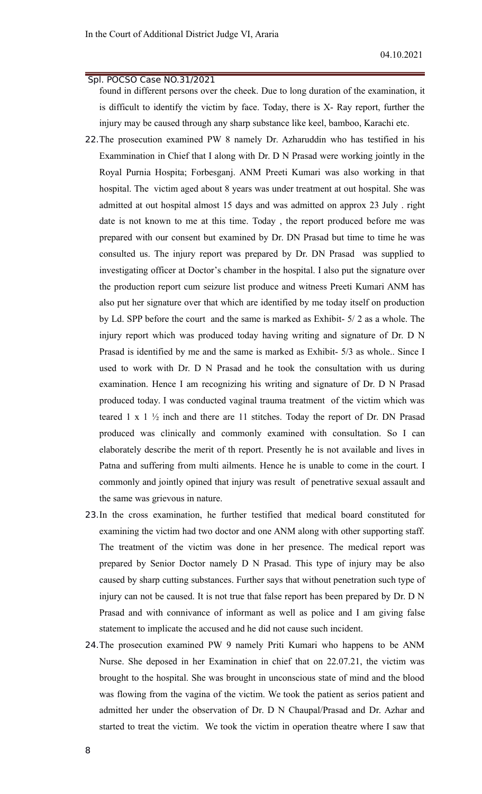found in different persons over the cheek. Due to long duration of the examination, it is difficult to identify the victim by face. Today, there is X- Ray report, further the injury may be caused through any sharp substance like keel, bamboo, Karachi etc.

- 22.The prosecution examined PW 8 namely Dr. Azharuddin who has testified in his Exammination in Chief that I along with Dr. D N Prasad were working jointly in the Royal Purnia Hospita; Forbesganj. ANM Preeti Kumari was also working in that hospital. The victim aged about 8 years was under treatment at out hospital. She was admitted at out hospital almost 15 days and was admitted on approx 23 July . right date is not known to me at this time. Today , the report produced before me was prepared with our consent but examined by Dr. DN Prasad but time to time he was consulted us. The injury report was prepared by Dr. DN Prasad was supplied to investigating officer at Doctor's chamber in the hospital. I also put the signature over the production report cum seizure list produce and witness Preeti Kumari ANM has also put her signature over that which are identified by me today itself on production by Ld. SPP before the court and the same is marked as Exhibit- 5/ 2 as a whole. The injury report which was produced today having writing and signature of Dr. D N Prasad is identified by me and the same is marked as Exhibit- 5/3 as whole.. Since I used to work with Dr. D N Prasad and he took the consultation with us during examination. Hence I am recognizing his writing and signature of Dr. D N Prasad produced today. I was conducted vaginal trauma treatment of the victim which was teared  $1 \times 1$   $\frac{1}{2}$  inch and there are 11 stitches. Today the report of Dr. DN Prasad produced was clinically and commonly examined with consultation. So I can elaborately describe the merit of th report. Presently he is not available and lives in Patna and suffering from multi ailments. Hence he is unable to come in the court. I commonly and jointly opined that injury was result of penetrative sexual assault and the same was grievous in nature.
- 23.In the cross examination, he further testified that medical board constituted for examining the victim had two doctor and one ANM along with other supporting staff. The treatment of the victim was done in her presence. The medical report was prepared by Senior Doctor namely D N Prasad. This type of injury may be also caused by sharp cutting substances. Further says that without penetration such type of injury can not be caused. It is not true that false report has been prepared by Dr. D N Prasad and with connivance of informant as well as police and I am giving false statement to implicate the accused and he did not cause such incident.
- 24.The prosecution examined PW 9 namely Priti Kumari who happens to be ANM Nurse. She deposed in her Examination in chief that on 22.07.21, the victim was brought to the hospital. She was brought in unconscious state of mind and the blood was flowing from the vagina of the victim. We took the patient as serios patient and admitted her under the observation of Dr. D N Chaupal/Prasad and Dr. Azhar and started to treat the victim. We took the victim in operation theatre where I saw that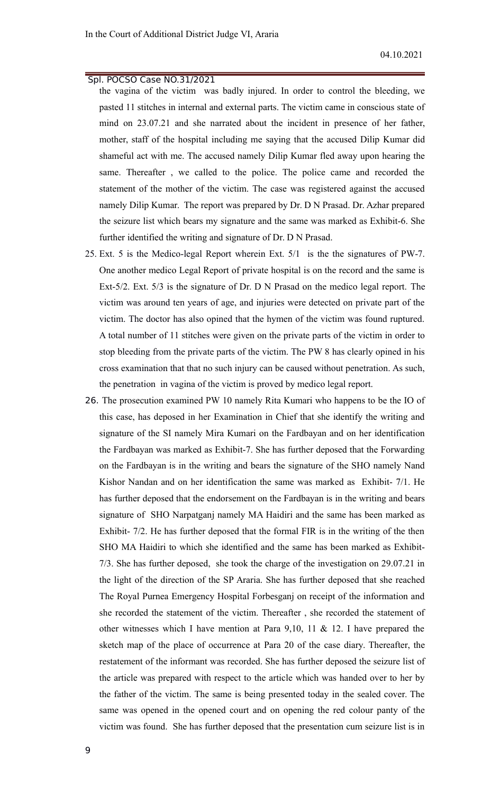- the vagina of the victim was badly injured. In order to control the bleeding, we pasted 11 stitches in internal and external parts. The victim came in conscious state of mind on 23.07.21 and she narrated about the incident in presence of her father, mother, staff of the hospital including me saying that the accused Dilip Kumar did shameful act with me. The accused namely Dilip Kumar fled away upon hearing the same. Thereafter , we called to the police. The police came and recorded the statement of the mother of the victim. The case was registered against the accused namely Dilip Kumar. The report was prepared by Dr. D N Prasad. Dr. Azhar prepared the seizure list which bears my signature and the same was marked as Exhibit-6. She further identified the writing and signature of Dr. D N Prasad.
- 25. Ext. 5 is the Medico-legal Report wherein Ext. 5/1 is the the signatures of PW-7. One another medico Legal Report of private hospital is on the record and the same is Ext-5/2. Ext. 5/3 is the signature of Dr. D N Prasad on the medico legal report. The victim was around ten years of age, and injuries were detected on private part of the victim. The doctor has also opined that the hymen of the victim was found ruptured. A total number of 11 stitches were given on the private parts of the victim in order to stop bleeding from the private parts of the victim. The PW 8 has clearly opined in his cross examination that that no such injury can be caused without penetration. As such, the penetration in vagina of the victim is proved by medico legal report.
- 26. The prosecution examined PW 10 namely Rita Kumari who happens to be the IO of this case, has deposed in her Examination in Chief that she identify the writing and signature of the SI namely Mira Kumari on the Fardbayan and on her identification the Fardbayan was marked as Exhibit-7. She has further deposed that the Forwarding on the Fardbayan is in the writing and bears the signature of the SHO namely Nand Kishor Nandan and on her identification the same was marked as Exhibit- 7/1. He has further deposed that the endorsement on the Fardbayan is in the writing and bears signature of SHO Narpatganj namely MA Haidiri and the same has been marked as Exhibit- 7/2. He has further deposed that the formal FIR is in the writing of the then SHO MA Haidiri to which she identified and the same has been marked as Exhibit-7/3. She has further deposed, she took the charge of the investigation on 29.07.21 in the light of the direction of the SP Araria. She has further deposed that she reached The Royal Purnea Emergency Hospital Forbesganj on receipt of the information and she recorded the statement of the victim. Thereafter , she recorded the statement of other witnesses which I have mention at Para 9,10, 11 & 12. I have prepared the sketch map of the place of occurrence at Para 20 of the case diary. Thereafter, the restatement of the informant was recorded. She has further deposed the seizure list of the article was prepared with respect to the article which was handed over to her by the father of the victim. The same is being presented today in the sealed cover. The same was opened in the opened court and on opening the red colour panty of the victim was found. She has further deposed that the presentation cum seizure list is in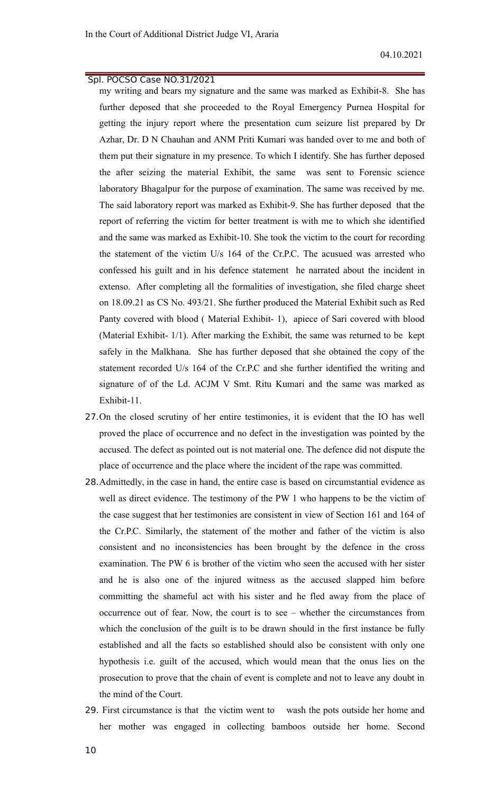my writing and bears my signature and the same was marked as Exhibit-8. She has further deposed that she proceeded to the Royal Emergency Purnea Hospital for getting the injury report where the presentation cum seizure list prepared by Dr Azhar, Dr. D N Chauhan and ANM Priti Kumari was handed over to me and both of them put their signature in my presence. To which I identify. She has further deposed the after seizing the material Exhibit, the same was sent to Forensic science laboratory Bhagalpur for the purpose of examination. The same was received by me. The said laboratory report was marked as Exhibit-9. She has further deposed that the report of referring the victim for better treatment is with me to which she identified and the same was marked as Exhibit-10. She took the victim to the court for recording the statement of the victim U/s 164 of the Cr.P.C. The acusued was arrested who confessed his guilt and in his defence statement he narrated about the incident in extenso. After completing all the formalities of investigation, she filed charge sheet on 18.09.21 as CS No. 493/21. She further produced the Material Exhibit such as Red Panty covered with blood ( Material Exhibit- 1), apiece of Sari covered with blood (Material Exhibit- 1/1). After marking the Exhibit, the same was returned to be kept safely in the Malkhana. She has further deposed that she obtained the copy of the statement recorded U/s 164 of the Cr.P.C and she further identified the writing and signature of of the Ld. ACJM V Smt. Ritu Kumari and the same was marked as Exhibit-11.

- 27.On the closed scrutiny of her entire testimonies, it is evident that the IO has well proved the place of occurrence and no defect in the investigation was pointed by the accused. The defect as pointed out is not material one. The defence did not dispute the place of occurrence and the place where the incident of the rape was committed.
- 28.Admittedly, in the case in hand, the entire case is based on circumstantial evidence as well as direct evidence. The testimony of the PW 1 who happens to be the victim of the case suggest that her testimonies are consistent in view of Section 161 and 164 of the Cr.P.C. Similarly, the statement of the mother and father of the victim is also consistent and no inconsistencies has been brought by the defence in the cross examination. The PW 6 is brother of the victim who seen the accused with her sister and he is also one of the injured witness as the accused slapped him before committing the shameful act with his sister and he fled away from the place of occurrence out of fear. Now, the court is to see – whether the circumstances from which the conclusion of the guilt is to be drawn should in the first instance be fully established and all the facts so established should also be consistent with only one hypothesis i.e. guilt of the accused, which would mean that the onus lies on the prosecution to prove that the chain of event is complete and not to leave any doubt in the mind of the Court.
- 29. First circumstance is that the victim went to wash the pots outside her home and her mother was engaged in collecting bamboos outside her home. Second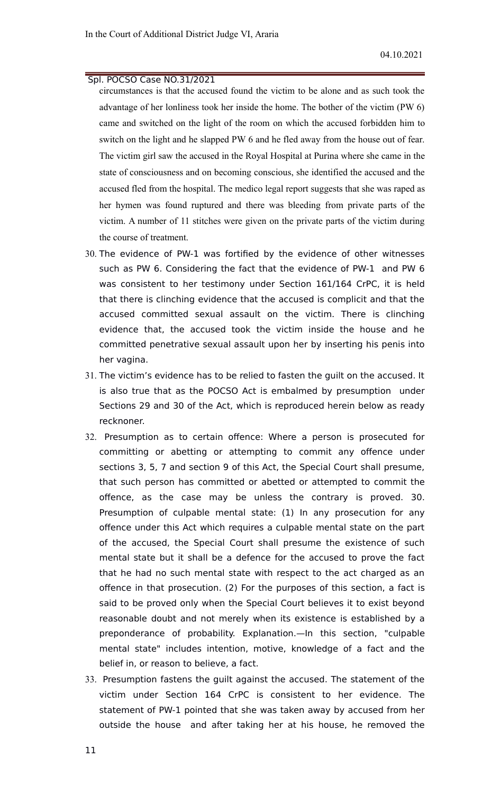circumstances is that the accused found the victim to be alone and as such took the advantage of her lonliness took her inside the home. The bother of the victim (PW 6) came and switched on the light of the room on which the accused forbidden him to switch on the light and he slapped PW 6 and he fled away from the house out of fear. The victim girl saw the accused in the Royal Hospital at Purina where she came in the state of consciousness and on becoming conscious, she identified the accused and the accused fled from the hospital. The medico legal report suggests that she was raped as her hymen was found ruptured and there was bleeding from private parts of the victim. A number of 11 stitches were given on the private parts of the victim during the course of treatment.

- 30. The evidence of PW-1 was fortified by the evidence of other witnesses such as PW 6. Considering the fact that the evidence of PW-1 and PW 6 was consistent to her testimony under Section 161/164 CrPC, it is held that there is clinching evidence that the accused is complicit and that the accused committed sexual assault on the victim. There is clinching evidence that, the accused took the victim inside the house and he committed penetrative sexual assault upon her by inserting his penis into her vagina.
- 31. The victim's evidence has to be relied to fasten the guilt on the accused. It is also true that as the POCSO Act is embalmed by presumption under Sections 29 and 30 of the Act, which is reproduced herein below as ready recknoner.
- 32. Presumption as to certain offence: Where a person is prosecuted for committing or abetting or attempting to commit any offence under sections 3, 5, 7 and section 9 of this Act, the Special Court shall presume, that such person has committed or abetted or attempted to commit the offence, as the case may be unless the contrary is proved. 30. Presumption of culpable mental state: (1) In any prosecution for any offence under this Act which requires a culpable mental state on the part of the accused, the Special Court shall presume the existence of such mental state but it shall be a defence for the accused to prove the fact that he had no such mental state with respect to the act charged as an offence in that prosecution. (2) For the purposes of this section, a fact is said to be proved only when the Special Court believes it to exist beyond reasonable doubt and not merely when its existence is established by a preponderance of probability. Explanation.—In this section, "culpable mental state" includes intention, motive, knowledge of a fact and the belief in, or reason to believe, a fact.
- 33. Presumption fastens the guilt against the accused. The statement of the victim under Section 164 CrPC is consistent to her evidence. The statement of PW-1 pointed that she was taken away by accused from her outside the house and after taking her at his house, he removed the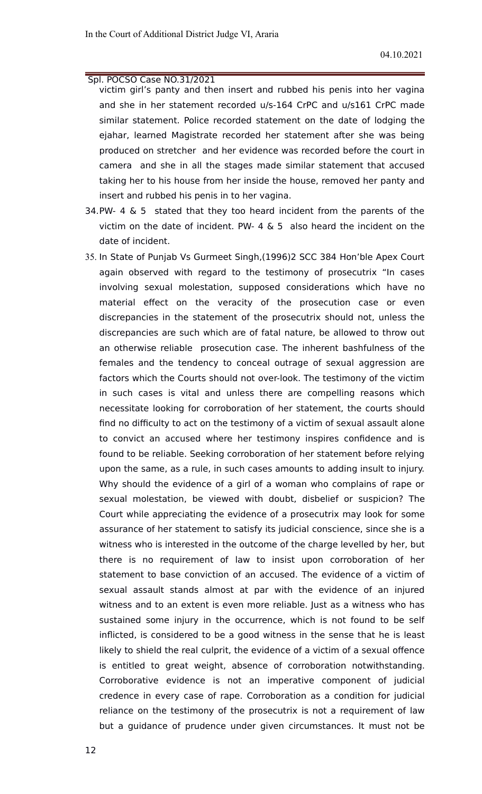- victim girl's panty and then insert and rubbed his penis into her vagina and she in her statement recorded u/s-164 CrPC and u/s161 CrPC made similar statement. Police recorded statement on the date of lodging the ejahar, learned Magistrate recorded her statement after she was being produced on stretcher and her evidence was recorded before the court in camera and she in all the stages made similar statement that accused taking her to his house from her inside the house, removed her panty and insert and rubbed his penis in to her vagina.
- 34.PW- 4 & 5 stated that they too heard incident from the parents of the victim on the date of incident. PW- 4  $\&$  5 also heard the incident on the date of incident.
- 35. In State of Punjab Vs Gurmeet Singh,(1996)2 SCC 384 Hon'ble Apex Court again observed with regard to the testimony of prosecutrix "In cases involving sexual molestation, supposed considerations which have no material effect on the veracity of the prosecution case or even discrepancies in the statement of the prosecutrix should not, unless the discrepancies are such which are of fatal nature, be allowed to throw out an otherwise reliable prosecution case. The inherent bashfulness of the females and the tendency to conceal outrage of sexual aggression are factors which the Courts should not over-look. The testimony of the victim in such cases is vital and unless there are compelling reasons which necessitate looking for corroboration of her statement, the courts should find no difficulty to act on the testimony of a victim of sexual assault alone to convict an accused where her testimony inspires confidence and is found to be reliable. Seeking corroboration of her statement before relying upon the same, as a rule, in such cases amounts to adding insult to injury. Why should the evidence of a girl of a woman who complains of rape or sexual molestation, be viewed with doubt, disbelief or suspicion? The Court while appreciating the evidence of a prosecutrix may look for some assurance of her statement to satisfy its judicial conscience, since she is a witness who is interested in the outcome of the charge levelled by her, but there is no requirement of law to insist upon corroboration of her statement to base conviction of an accused. The evidence of a victim of sexual assault stands almost at par with the evidence of an injured witness and to an extent is even more reliable. Just as a witness who has sustained some injury in the occurrence, which is not found to be self inflicted, is considered to be a good witness in the sense that he is least likely to shield the real culprit, the evidence of a victim of a sexual offence is entitled to great weight, absence of corroboration notwithstanding. Corroborative evidence is not an imperative component of judicial credence in every case of rape. Corroboration as a condition for judicial reliance on the testimony of the prosecutrix is not a requirement of law but a guidance of prudence under given circumstances. It must not be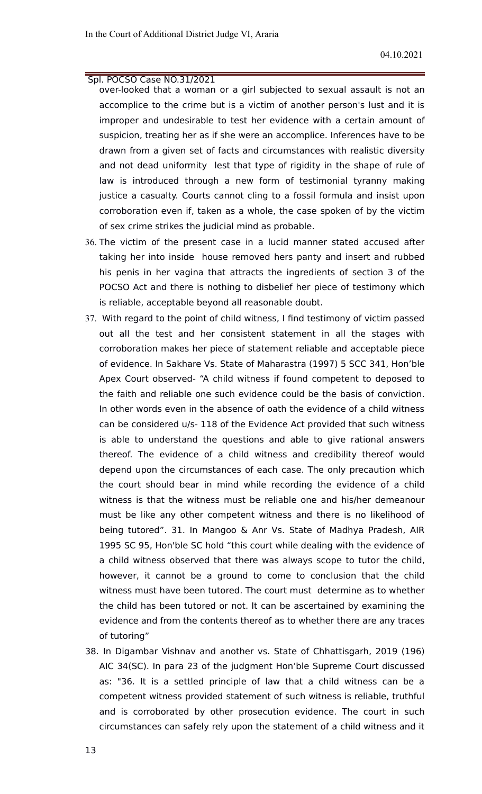- over-looked that a woman or a girl subjected to sexual assault is not an accomplice to the crime but is a victim of another person's lust and it is improper and undesirable to test her evidence with a certain amount of suspicion, treating her as if she were an accomplice. Inferences have to be drawn from a given set of facts and circumstances with realistic diversity and not dead uniformity lest that type of rigidity in the shape of rule of law is introduced through a new form of testimonial tyranny making justice a casualty. Courts cannot cling to a fossil formula and insist upon corroboration even if, taken as a whole, the case spoken of by the victim of sex crime strikes the judicial mind as probable.
- 36. The victim of the present case in a lucid manner stated accused after taking her into inside house removed hers panty and insert and rubbed his penis in her vagina that attracts the ingredients of section 3 of the POCSO Act and there is nothing to disbelief her piece of testimony which is reliable, acceptable beyond all reasonable doubt.
- 37. With regard to the point of child witness, I find testimony of victim passed out all the test and her consistent statement in all the stages with corroboration makes her piece of statement reliable and acceptable piece of evidence. In Sakhare Vs. State of Maharastra (1997) 5 SCC 341, Hon'ble Apex Court observed- "A child witness if found competent to deposed to the faith and reliable one such evidence could be the basis of conviction. In other words even in the absence of oath the evidence of a child witness can be considered u/s- 118 of the Evidence Act provided that such witness is able to understand the questions and able to give rational answers thereof. The evidence of a child witness and credibility thereof would depend upon the circumstances of each case. The only precaution which the court should bear in mind while recording the evidence of a child witness is that the witness must be reliable one and his/her demeanour must be like any other competent witness and there is no likelihood of being tutored". 31. In Mangoo & Anr Vs. State of Madhya Pradesh, AIR 1995 SC 95, Hon'ble SC hold "this court while dealing with the evidence of a child witness observed that there was always scope to tutor the child, however, it cannot be a ground to come to conclusion that the child witness must have been tutored. The court must determine as to whether the child has been tutored or not. It can be ascertained by examining the evidence and from the contents thereof as to whether there are any traces of tutoring"
- 38. In Digambar Vishnav and another vs. State of Chhattisgarh, 2019 (196) AIC 34(SC). In para 23 of the judgment Hon'ble Supreme Court discussed as: "36. It is a settled principle of law that a child witness can be a competent witness provided statement of such witness is reliable, truthful and is corroborated by other prosecution evidence. The court in such circumstances can safely rely upon the statement of a child witness and it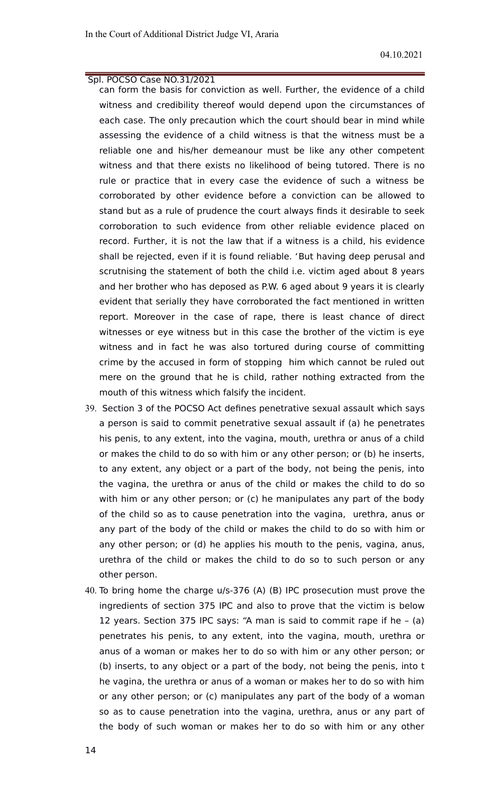can form the basis for conviction as well. Further, the evidence of a child witness and credibility thereof would depend upon the circumstances of each case. The only precaution which the court should bear in mind while assessing the evidence of a child witness is that the witness must be a reliable one and his/her demeanour must be like any other competent witness and that there exists no likelihood of being tutored. There is no rule or practice that in every case the evidence of such a witness be corroborated by other evidence before a conviction can be allowed to stand but as a rule of prudence the court always finds it desirable to seek corroboration to such evidence from other reliable evidence placed on record. Further, it is not the law that if a witness is a child, his evidence shall be rejected, even if it is found reliable. 'But having deep perusal and scrutnising the statement of both the child i.e. victim aged about 8 years and her brother who has deposed as P.W. 6 aged about 9 years it is clearly evident that serially they have corroborated the fact mentioned in written report. Moreover in the case of rape, there is least chance of direct witnesses or eye witness but in this case the brother of the victim is eye witness and in fact he was also tortured during course of committing crime by the accused in form of stopping him which cannot be ruled out mere on the ground that he is child, rather nothing extracted from the mouth of this witness which falsify the incident.

- 39. Section 3 of the POCSO Act defines penetrative sexual assault which says a person is said to commit penetrative sexual assault if (a) he penetrates his penis, to any extent, into the vagina, mouth, urethra or anus of a child or makes the child to do so with him or any other person; or (b) he inserts, to any extent, any object or a part of the body, not being the penis, into the vagina, the urethra or anus of the child or makes the child to do so with him or any other person; or (c) he manipulates any part of the body of the child so as to cause penetration into the vagina, urethra, anus or any part of the body of the child or makes the child to do so with him or any other person; or (d) he applies his mouth to the penis, vagina, anus, urethra of the child or makes the child to do so to such person or any other person.
- 40. To bring home the charge u/s-376 (A) (B) IPC prosecution must prove the ingredients of section 375 IPC and also to prove that the victim is below 12 years. Section 375 IPC says: "A man is said to commit rape if he – (a) penetrates his penis, to any extent, into the vagina, mouth, urethra or anus of a woman or makes her to do so with him or any other person; or (b) inserts, to any object or a part of the body, not being the penis, into t he vagina, the urethra or anus of a woman or makes her to do so with him or any other person; or (c) manipulates any part of the body of a woman so as to cause penetration into the vagina, urethra, anus or any part of the body of such woman or makes her to do so with him or any other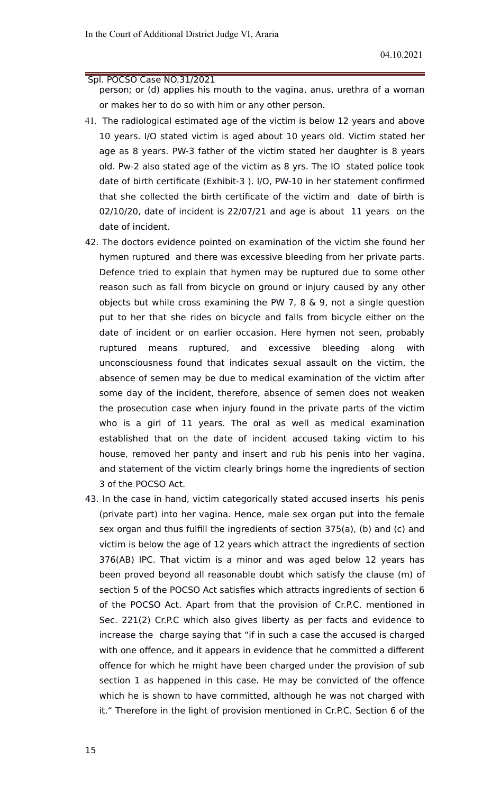person; or (d) applies his mouth to the vagina, anus, urethra of a woman or makes her to do so with him or any other person.

- 41. The radiological estimated age of the victim is below 12 years and above 10 years. I/O stated victim is aged about 10 years old. Victim stated her age as 8 years. PW-3 father of the victim stated her daughter is 8 years old. Pw-2 also stated age of the victim as 8 yrs. The IO stated police took date of birth certificate (Exhibit-3 ). I/O, PW-10 in her statement confirmed that she collected the birth certificate of the victim and date of birth is 02/10/20, date of incident is 22/07/21 and age is about 11 years on the date of incident.
- 42. The doctors evidence pointed on examination of the victim she found her hymen ruptured and there was excessive bleeding from her private parts. Defence tried to explain that hymen may be ruptured due to some other reason such as fall from bicycle on ground or injury caused by any other objects but while cross examining the PW 7, 8 & 9, not a single question put to her that she rides on bicycle and falls from bicycle either on the date of incident or on earlier occasion. Here hymen not seen, probably ruptured means ruptured, and excessive bleeding along with unconsciousness found that indicates sexual assault on the victim, the absence of semen may be due to medical examination of the victim after some day of the incident, therefore, absence of semen does not weaken the prosecution case when injury found in the private parts of the victim who is a girl of 11 years. The oral as well as medical examination established that on the date of incident accused taking victim to his house, removed her panty and insert and rub his penis into her vagina, and statement of the victim clearly brings home the ingredients of section 3 of the POCSO Act.
- 43. In the case in hand, victim categorically stated accused inserts his penis (private part) into her vagina. Hence, male sex organ put into the female sex organ and thus fulfill the ingredients of section 375(a), (b) and (c) and victim is below the age of 12 years which attract the ingredients of section 376(AB) IPC. That victim is a minor and was aged below 12 years has been proved beyond all reasonable doubt which satisfy the clause (m) of section 5 of the POCSO Act satisfies which attracts ingredients of section 6 of the POCSO Act. Apart from that the provision of Cr.P.C. mentioned in Sec. 221(2) Cr.P.C which also gives liberty as per facts and evidence to increase the charge saying that "if in such a case the accused is charged with one offence, and it appears in evidence that he committed a different offence for which he might have been charged under the provision of sub section 1 as happened in this case. He may be convicted of the offence which he is shown to have committed, although he was not charged with it." Therefore in the light of provision mentioned in Cr.P.C. Section 6 of the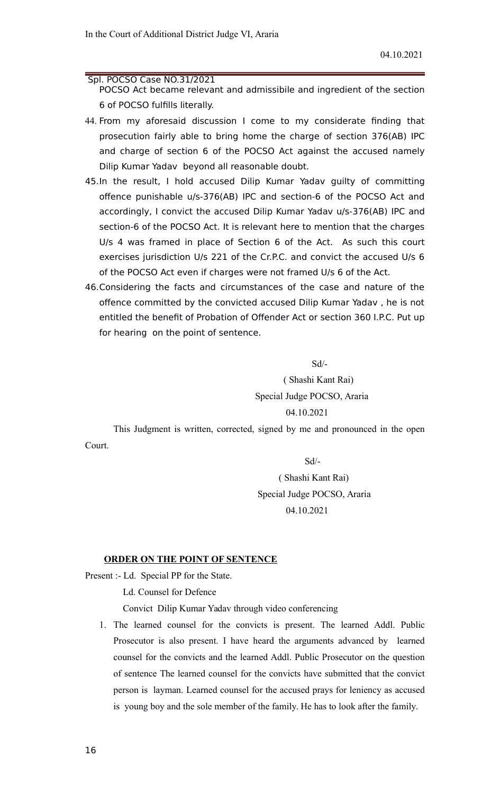POCSO Act became relevant and admissibile and ingredient of the section 6 of POCSO fulfills literally.

- 44. From my aforesaid discussion I come to my considerate finding that prosecution fairly able to bring home the charge of section 376(AB) IPC and charge of section 6 of the POCSO Act against the accused namely Dilip Kumar Yadav beyond all reasonable doubt.
- 45.In the result, I hold accused Dilip Kumar Yadav guilty of committing offence punishable u/s-376(AB) IPC and section-6 of the POCSO Act and accordingly, I convict the accused Dilip Kumar Yadav u/s-376(AB) IPC and section-6 of the POCSO Act. It is relevant here to mention that the charges U/s 4 was framed in place of Section 6 of the Act. As such this court exercises jurisdiction U/s 221 of the Cr.P.C. and convict the accused U/s 6 of the POCSO Act even if charges were not framed U/s 6 of the Act.
- 46.Considering the facts and circumstances of the case and nature of the offence committed by the convicted accused Dilip Kumar Yadav , he is not entitled the benefit of Probation of Offender Act or section 360 I.P.C. Put up for hearing on the point of sentence.

Sd/-

( Shashi Kant Rai) Special Judge POCSO, Araria 04.10.2021

This Judgment is written, corrected, signed by me and pronounced in the open Court.

Sd/-

# ( Shashi Kant Rai) Special Judge POCSO, Araria 04.10.2021

#### **ORDER ON THE POINT OF SENTENCE**

Present :- Ld. Special PP for the State.

Ld. Counsel for Defence

Convict Dilip Kumar Yadav through video conferencing

1. The learned counsel for the convicts is present. The learned Addl. Public Prosecutor is also present. I have heard the arguments advanced by learned counsel for the convicts and the learned Addl. Public Prosecutor on the question of sentence The learned counsel for the convicts have submitted that the convict person is layman. Learned counsel for the accused prays for leniency as accused is young boy and the sole member of the family. He has to look after the family.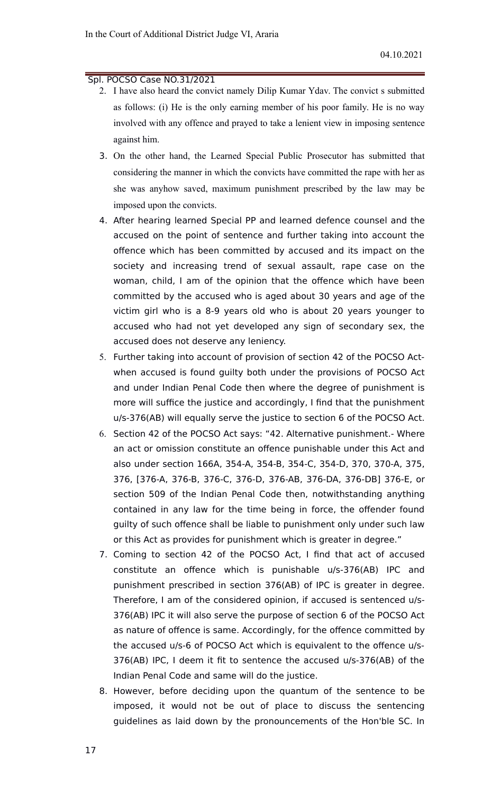- 2. I have also heard the convict namely Dilip Kumar Ydav. The convict s submitted as follows: (i) He is the only earning member of his poor family. He is no way involved with any offence and prayed to take a lenient view in imposing sentence against him.
- 3. On the other hand, the Learned Special Public Prosecutor has submitted that considering the manner in which the convicts have committed the rape with her as she was anyhow saved, maximum punishment prescribed by the law may be imposed upon the convicts.
- 4. After hearing learned Special PP and learned defence counsel and the accused on the point of sentence and further taking into account the offence which has been committed by accused and its impact on the society and increasing trend of sexual assault, rape case on the woman, child, I am of the opinion that the offence which have been committed by the accused who is aged about 30 years and age of the victim girl who is a 8-9 years old who is about 20 years younger to accused who had not yet developed any sign of secondary sex, the accused does not deserve any leniency.
- 5. Further taking into account of provision of section 42 of the POCSO Actwhen accused is found guilty both under the provisions of POCSO Act and under Indian Penal Code then where the degree of punishment is more will suffice the justice and accordingly, I find that the punishment u/s-376(AB) will equally serve the justice to section 6 of the POCSO Act.
- 6. Section 42 of the POCSO Act says: "42. Alternative punishment.- Where an act or omission constitute an offence punishable under this Act and also under section 166A, 354-A, 354-B, 354-C, 354-D, 370, 370-A, 375, 376, [376-A, 376-B, 376-C, 376-D, 376-AB, 376-DA, 376-DB] 376-E, or section 509 of the Indian Penal Code then, notwithstanding anything contained in any law for the time being in force, the offender found guilty of such offence shall be liable to punishment only under such law or this Act as provides for punishment which is greater in degree."
- 7. Coming to section 42 of the POCSO Act, I find that act of accused constitute an offence which is punishable u/s-376(AB) IPC and punishment prescribed in section 376(AB) of IPC is greater in degree. Therefore, I am of the considered opinion, if accused is sentenced u/s-376(AB) IPC it will also serve the purpose of section 6 of the POCSO Act as nature of offence is same. Accordingly, for the offence committed by the accused u/s-6 of POCSO Act which is equivalent to the offence u/s-376(AB) IPC, I deem it fit to sentence the accused u/s-376(AB) of the Indian Penal Code and same will do the justice.
- 8. However, before deciding upon the quantum of the sentence to be imposed, it would not be out of place to discuss the sentencing guidelines as laid down by the pronouncements of the Hon'ble SC. In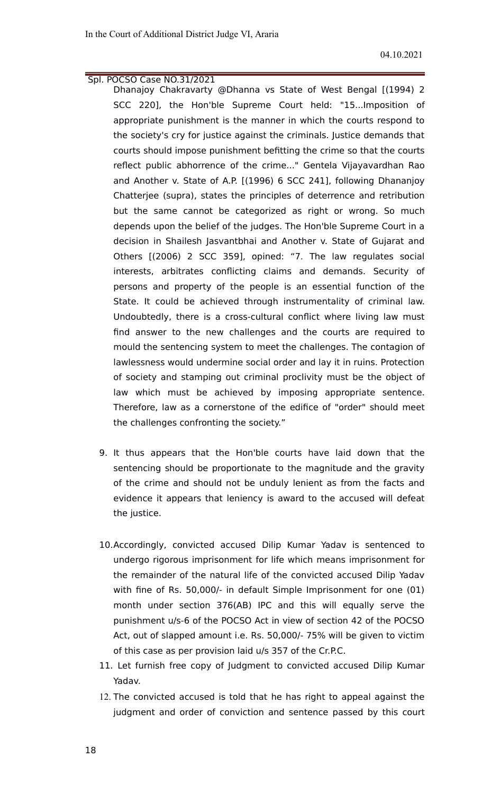- Dhanajoy Chakravarty @Dhanna vs State of West Bengal [(1994) 2 SCC 220], the Hon'ble Supreme Court held: "15...Imposition of appropriate punishment is the manner in which the courts respond to the society's cry for justice against the criminals. Justice demands that courts should impose punishment befitting the crime so that the courts reflect public abhorrence of the crime..." Gentela Vijayavardhan Rao and Another v. State of A.P. [(1996) 6 SCC 241], following Dhananjoy Chatterjee (supra), states the principles of deterrence and retribution but the same cannot be categorized as right or wrong. So much depends upon the belief of the judges. The Hon'ble Supreme Court in a decision in Shailesh Jasvantbhai and Another v. State of Gujarat and Others [(2006) 2 SCC 359], opined: "7. The law regulates social interests, arbitrates conflicting claims and demands. Security of persons and property of the people is an essential function of the State. It could be achieved through instrumentality of criminal law. Undoubtedly, there is a cross-cultural conflict where living law must find answer to the new challenges and the courts are required to mould the sentencing system to meet the challenges. The contagion of lawlessness would undermine social order and lay it in ruins. Protection of society and stamping out criminal proclivity must be the object of law which must be achieved by imposing appropriate sentence. Therefore, law as a cornerstone of the edifice of "order" should meet the challenges confronting the society."
- 9. It thus appears that the Hon'ble courts have laid down that the sentencing should be proportionate to the magnitude and the gravity of the crime and should not be unduly lenient as from the facts and evidence it appears that leniency is award to the accused will defeat the justice.
- 10.Accordingly, convicted accused Dilip Kumar Yadav is sentenced to undergo rigorous imprisonment for life which means imprisonment for the remainder of the natural life of the convicted accused Dilip Yadav with fine of Rs. 50,000/- in default Simple Imprisonment for one (01) month under section 376(AB) IPC and this will equally serve the punishment u/s-6 of the POCSO Act in view of section 42 of the POCSO Act, out of slapped amount i.e. Rs. 50,000/- 75% will be given to victim of this case as per provision laid u/s 357 of the Cr.P.C.
- 11. Let furnish free copy of Judgment to convicted accused Dilip Kumar Yadav.
- 12. The convicted accused is told that he has right to appeal against the judgment and order of conviction and sentence passed by this court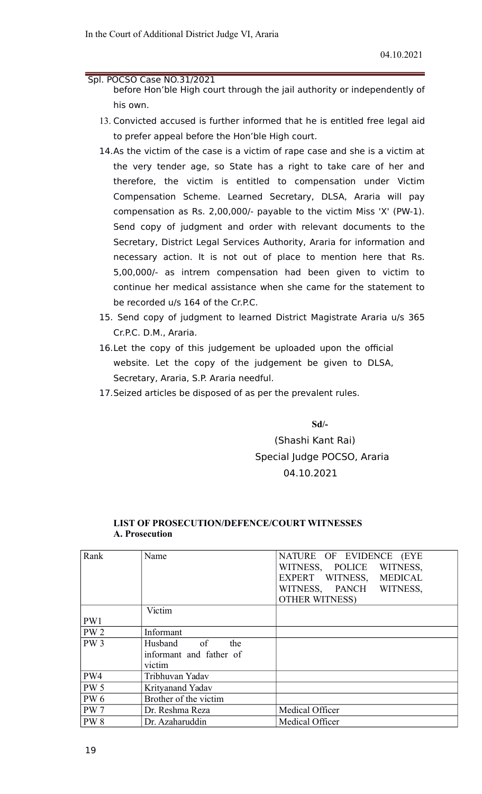- before Hon'ble High court through the jail authority or independently of his own.
- 13. Convicted accused is further informed that he is entitled free legal aid to prefer appeal before the Hon'ble High court.
- 14.As the victim of the case is a victim of rape case and she is a victim at the very tender age, so State has a right to take care of her and therefore, the victim is entitled to compensation under Victim Compensation Scheme. Learned Secretary, DLSA, Araria will pay compensation as Rs. 2,00,000/- payable to the victim Miss 'X' (PW-1). Send copy of judgment and order with relevant documents to the Secretary, District Legal Services Authority, Araria for information and necessary action. It is not out of place to mention here that Rs. 5,00,000/- as intrem compensation had been given to victim to continue her medical assistance when she came for the statement to be recorded u/s 164 of the Cr.P.C.
- 15. Send copy of judgment to learned District Magistrate Araria u/s 365 Cr.P.C. D.M., Araria.
- 16.Let the copy of this judgement be uploaded upon the official website. Let the copy of the judgement be given to DLSA, Secretary, Araria, S.P. Araria needful.
- 17.Seized articles be disposed of as per the prevalent rules.

**Sd/-**

 (Shashi Kant Rai) Special Judge POCSO, Araria 04.10.2021

# **A. Prosecution** Rank | Name | NATURE OF EVIDENCE (EYE WITNESS, POLICE WITNESS, WITNESS.

**LIST OF PROSECUTION/DEFENCE/COURT WITNESSES**

|                 |                         | <b>LAPEKI</b><br>WIINESS.<br><b>NIEDICAL</b> |
|-----------------|-------------------------|----------------------------------------------|
|                 |                         | WITNESS, PANCH<br>WITNESS,                   |
|                 |                         | <b>OTHER WITNESS)</b>                        |
|                 | Victim                  |                                              |
| PW1             |                         |                                              |
| PW <sub>2</sub> | Informant               |                                              |
| PW <sub>3</sub> | Husband<br>of<br>the    |                                              |
|                 | informant and father of |                                              |
|                 | victim                  |                                              |
| PW4             | Tribhuvan Yadav         |                                              |
| <b>PW 5</b>     | Krityanand Yadav        |                                              |
| <b>PW6</b>      | Brother of the victim   |                                              |
| <b>PW</b> 7     | Dr. Reshma Reza         | Medical Officer                              |
| <b>PW8</b>      | Dr. Azaharuddin         | Medical Officer                              |